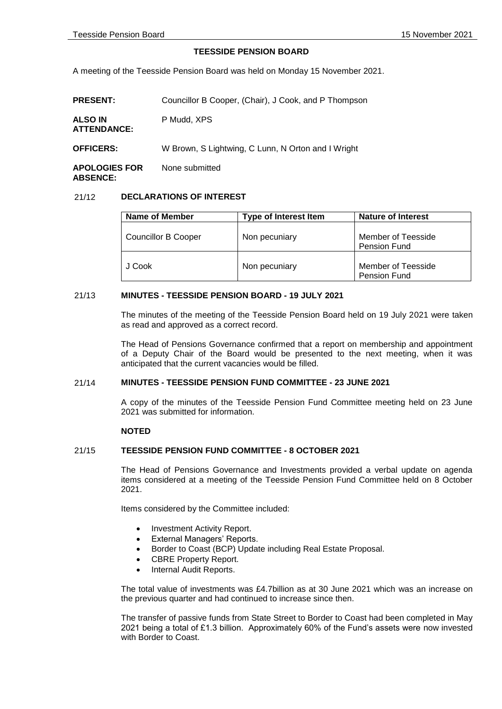## **TEESSIDE PENSION BOARD**

A meeting of the Teesside Pension Board was held on Monday 15 November 2021.

| <b>PRESENT:</b>                         | Councillor B Cooper, (Chair), J Cook, and P Thompson |
|-----------------------------------------|------------------------------------------------------|
| <b>ALSO IN</b><br><b>ATTENDANCE:</b>    | P Mudd, XPS                                          |
| <b>OFFICERS:</b>                        | W Brown, S Lightwing, C Lunn, N Orton and I Wright   |
| <b>APOLOGIES FOR</b><br><b>ABSENCE:</b> | None submitted                                       |

## 21/12 **DECLARATIONS OF INTEREST**

| Name of Member             | <b>Type of Interest Item</b> | <b>Nature of Interest</b>          |
|----------------------------|------------------------------|------------------------------------|
| <b>Councillor B Cooper</b> | Non pecuniary                | Member of Teesside<br>Pension Fund |
| J Cook                     | Non pecuniary                | Member of Teesside<br>Pension Fund |

## 21/13 **MINUTES - TEESSIDE PENSION BOARD - 19 JULY 2021**

The minutes of the meeting of the Teesside Pension Board held on 19 July 2021 were taken as read and approved as a correct record.

The Head of Pensions Governance confirmed that a report on membership and appointment of a Deputy Chair of the Board would be presented to the next meeting, when it was anticipated that the current vacancies would be filled.

# 21/14 **MINUTES - TEESSIDE PENSION FUND COMMITTEE - 23 JUNE 2021**

A copy of the minutes of the Teesside Pension Fund Committee meeting held on 23 June 2021 was submitted for information.

## **NOTED**

### 21/15 **TEESSIDE PENSION FUND COMMITTEE - 8 OCTOBER 2021**

The Head of Pensions Governance and Investments provided a verbal update on agenda items considered at a meeting of the Teesside Pension Fund Committee held on 8 October 2021.

Items considered by the Committee included:

- Investment Activity Report.
- External Managers' Reports.
- Border to Coast (BCP) Update including Real Estate Proposal.
- CBRE Property Report.
- Internal Audit Reports.

The total value of investments was £4.7billion as at 30 June 2021 which was an increase on the previous quarter and had continued to increase since then.

The transfer of passive funds from State Street to Border to Coast had been completed in May 2021 being a total of £1.3 billion. Approximately 60% of the Fund's assets were now invested with Border to Coast.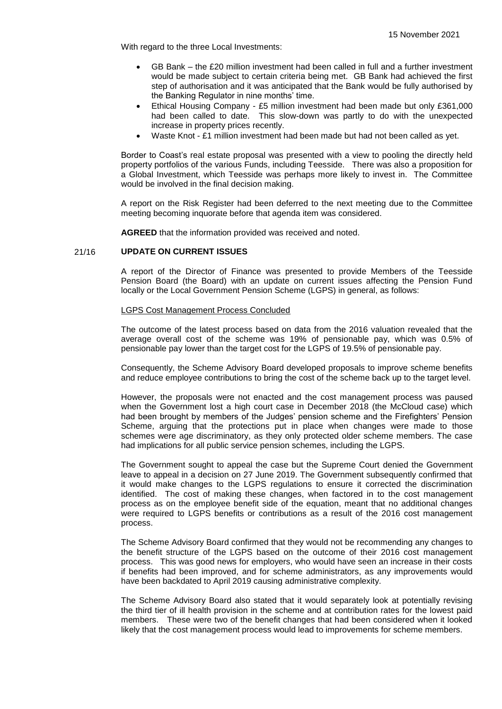With regard to the three Local Investments:

- GB Bank the £20 million investment had been called in full and a further investment would be made subject to certain criteria being met. GB Bank had achieved the first step of authorisation and it was anticipated that the Bank would be fully authorised by the Banking Regulator in nine months' time.
- Ethical Housing Company £5 million investment had been made but only £361,000 had been called to date. This slow-down was partly to do with the unexpected increase in property prices recently.
- Waste Knot £1 million investment had been made but had not been called as yet.

Border to Coast's real estate proposal was presented with a view to pooling the directly held property portfolios of the various Funds, including Teesside. There was also a proposition for a Global Investment, which Teesside was perhaps more likely to invest in. The Committee would be involved in the final decision making.

A report on the Risk Register had been deferred to the next meeting due to the Committee meeting becoming inquorate before that agenda item was considered.

**AGREED** that the information provided was received and noted.

## 21/16 **UPDATE ON CURRENT ISSUES**

A report of the Director of Finance was presented to provide Members of the Teesside Pension Board (the Board) with an update on current issues affecting the Pension Fund locally or the Local Government Pension Scheme (LGPS) in general, as follows:

#### LGPS Cost Management Process Concluded

The outcome of the latest process based on data from the 2016 valuation revealed that the average overall cost of the scheme was 19% of pensionable pay, which was 0.5% of pensionable pay lower than the target cost for the LGPS of 19.5% of pensionable pay.

Consequently, the Scheme Advisory Board developed proposals to improve scheme benefits and reduce employee contributions to bring the cost of the scheme back up to the target level.

However, the proposals were not enacted and the cost management process was paused when the Government lost a high court case in December 2018 (the McCloud case) which had been brought by members of the Judges' pension scheme and the Firefighters' Pension Scheme, arguing that the protections put in place when changes were made to those schemes were age discriminatory, as they only protected older scheme members. The case had implications for all public service pension schemes, including the LGPS.

The Government sought to appeal the case but the Supreme Court denied the Government leave to appeal in a decision on 27 June 2019. The Government subsequently confirmed that it would make changes to the LGPS regulations to ensure it corrected the discrimination identified. The cost of making these changes, when factored in to the cost management process as on the employee benefit side of the equation, meant that no additional changes were required to LGPS benefits or contributions as a result of the 2016 cost management process.

The Scheme Advisory Board confirmed that they would not be recommending any changes to the benefit structure of the LGPS based on the outcome of their 2016 cost management process. This was good news for employers, who would have seen an increase in their costs if benefits had been improved, and for scheme administrators, as any improvements would have been backdated to April 2019 causing administrative complexity.

The Scheme Advisory Board also stated that it would separately look at potentially revising the third tier of ill health provision in the scheme and at contribution rates for the lowest paid members. These were two of the benefit changes that had been considered when it looked likely that the cost management process would lead to improvements for scheme members.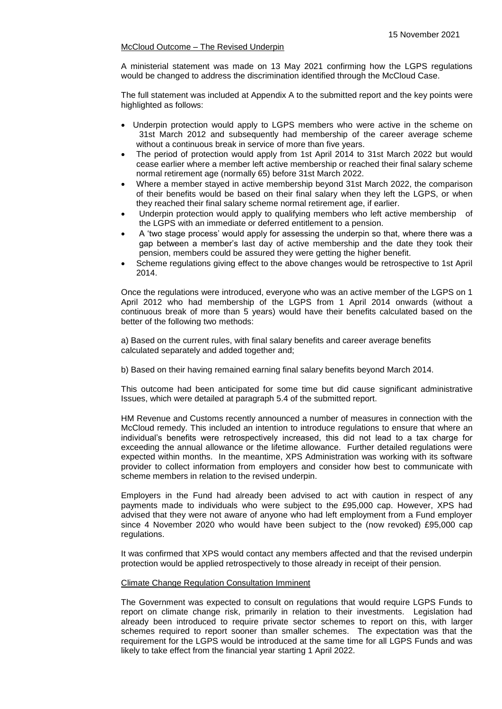# McCloud Outcome – The Revised Underpin

A ministerial statement was made on 13 May 2021 confirming how the LGPS regulations would be changed to address the discrimination identified through the McCloud Case.

The full statement was included at Appendix A to the submitted report and the key points were highlighted as follows:

- Underpin protection would apply to LGPS members who were active in the scheme on 31st March 2012 and subsequently had membership of the career average scheme without a continuous break in service of more than five years.
- The period of protection would apply from 1st April 2014 to 31st March 2022 but would cease earlier where a member left active membership or reached their final salary scheme normal retirement age (normally 65) before 31st March 2022.
- Where a member stayed in active membership beyond 31st March 2022, the comparison of their benefits would be based on their final salary when they left the LGPS, or when they reached their final salary scheme normal retirement age, if earlier.
- Underpin protection would apply to qualifying members who left active membership of the LGPS with an immediate or deferred entitlement to a pension.
- A 'two stage process' would apply for assessing the underpin so that, where there was a gap between a member's last day of active membership and the date they took their pension, members could be assured they were getting the higher benefit.
- Scheme regulations giving effect to the above changes would be retrospective to 1st April 2014.

Once the regulations were introduced, everyone who was an active member of the LGPS on 1 April 2012 who had membership of the LGPS from 1 April 2014 onwards (without a continuous break of more than 5 years) would have their benefits calculated based on the better of the following two methods:

a) Based on the current rules, with final salary benefits and career average benefits calculated separately and added together and;

b) Based on their having remained earning final salary benefits beyond March 2014.

This outcome had been anticipated for some time but did cause significant administrative Issues, which were detailed at paragraph 5.4 of the submitted report.

HM Revenue and Customs recently announced a number of measures in connection with the McCloud remedy. This included an intention to introduce regulations to ensure that where an individual's benefits were retrospectively increased, this did not lead to a tax charge for exceeding the annual allowance or the lifetime allowance. Further detailed regulations were expected within months. In the meantime, XPS Administration was working with its software provider to collect information from employers and consider how best to communicate with scheme members in relation to the revised underpin.

Employers in the Fund had already been advised to act with caution in respect of any payments made to individuals who were subject to the £95,000 cap. However, XPS had advised that they were not aware of anyone who had left employment from a Fund employer since 4 November 2020 who would have been subject to the (now revoked) £95,000 cap regulations.

It was confirmed that XPS would contact any members affected and that the revised underpin protection would be applied retrospectively to those already in receipt of their pension.

## Climate Change Regulation Consultation Imminent

The Government was expected to consult on regulations that would require LGPS Funds to report on climate change risk, primarily in relation to their investments. Legislation had already been introduced to require private sector schemes to report on this, with larger schemes required to report sooner than smaller schemes. The expectation was that the requirement for the LGPS would be introduced at the same time for all LGPS Funds and was likely to take effect from the financial year starting 1 April 2022.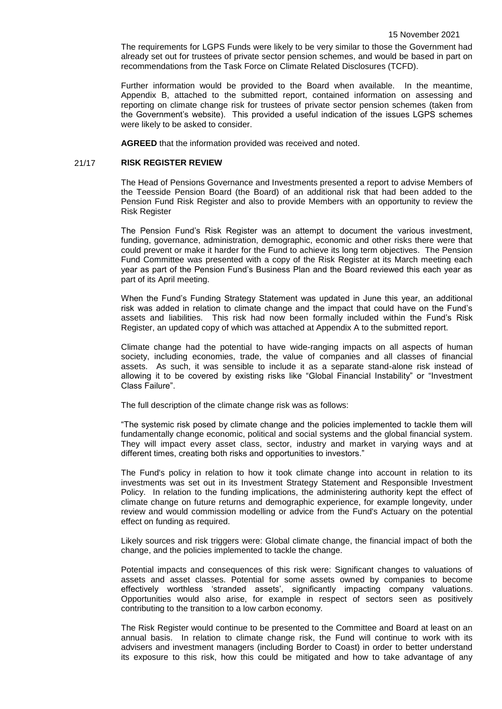The requirements for LGPS Funds were likely to be very similar to those the Government had already set out for trustees of private sector pension schemes, and would be based in part on recommendations from the Task Force on Climate Related Disclosures (TCFD).

Further information would be provided to the Board when available. In the meantime, Appendix B, attached to the submitted report, contained information on assessing and reporting on climate change risk for trustees of private sector pension schemes (taken from the Government's website). This provided a useful indication of the issues LGPS schemes were likely to be asked to consider.

**AGREED** that the information provided was received and noted.

#### 21/17 **RISK REGISTER REVIEW**

The Head of Pensions Governance and Investments presented a report to advise Members of the Teesside Pension Board (the Board) of an additional risk that had been added to the Pension Fund Risk Register and also to provide Members with an opportunity to review the Risk Register

The Pension Fund's Risk Register was an attempt to document the various investment, funding, governance, administration, demographic, economic and other risks there were that could prevent or make it harder for the Fund to achieve its long term objectives. The Pension Fund Committee was presented with a copy of the Risk Register at its March meeting each year as part of the Pension Fund's Business Plan and the Board reviewed this each year as part of its April meeting.

When the Fund's Funding Strategy Statement was updated in June this year, an additional risk was added in relation to climate change and the impact that could have on the Fund's assets and liabilities. This risk had now been formally included within the Fund's Risk Register, an updated copy of which was attached at Appendix A to the submitted report.

Climate change had the potential to have wide-ranging impacts on all aspects of human society, including economies, trade, the value of companies and all classes of financial assets. As such, it was sensible to include it as a separate stand-alone risk instead of allowing it to be covered by existing risks like "Global Financial Instability" or "Investment Class Failure".

The full description of the climate change risk was as follows:

"The systemic risk posed by climate change and the policies implemented to tackle them will fundamentally change economic, political and social systems and the global financial system. They will impact every asset class, sector, industry and market in varying ways and at different times, creating both risks and opportunities to investors."

The Fund's policy in relation to how it took climate change into account in relation to its investments was set out in its Investment Strategy Statement and Responsible Investment Policy. In relation to the funding implications, the administering authority kept the effect of climate change on future returns and demographic experience, for example longevity, under review and would commission modelling or advice from the Fund's Actuary on the potential effect on funding as required.

Likely sources and risk triggers were: Global climate change, the financial impact of both the change, and the policies implemented to tackle the change.

Potential impacts and consequences of this risk were: Significant changes to valuations of assets and asset classes. Potential for some assets owned by companies to become effectively worthless 'stranded assets', significantly impacting company valuations. Opportunities would also arise, for example in respect of sectors seen as positively contributing to the transition to a low carbon economy.

The Risk Register would continue to be presented to the Committee and Board at least on an annual basis. In relation to climate change risk, the Fund will continue to work with its advisers and investment managers (including Border to Coast) in order to better understand its exposure to this risk, how this could be mitigated and how to take advantage of any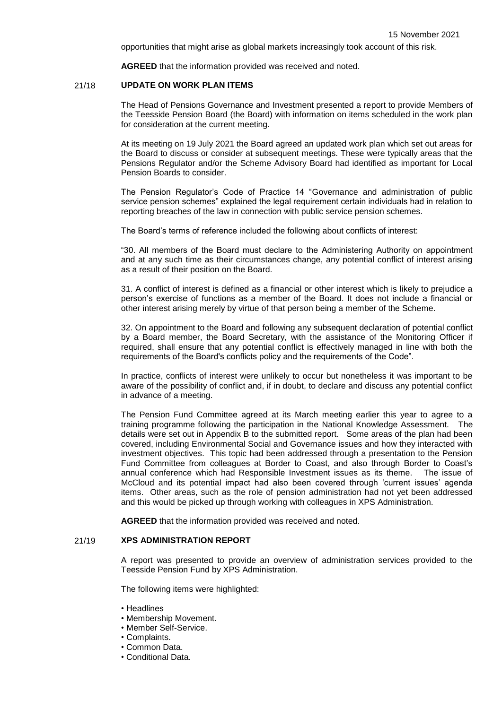opportunities that might arise as global markets increasingly took account of this risk.

**AGREED** that the information provided was received and noted.

### 21/18 **UPDATE ON WORK PLAN ITEMS**

The Head of Pensions Governance and Investment presented a report to provide Members of the Teesside Pension Board (the Board) with information on items scheduled in the work plan for consideration at the current meeting.

At its meeting on 19 July 2021 the Board agreed an updated work plan which set out areas for the Board to discuss or consider at subsequent meetings. These were typically areas that the Pensions Regulator and/or the Scheme Advisory Board had identified as important for Local Pension Boards to consider.

The Pension Regulator's Code of Practice 14 "Governance and administration of public service pension schemes" explained the legal requirement certain individuals had in relation to reporting breaches of the law in connection with public service pension schemes.

The Board's terms of reference included the following about conflicts of interest:

"30. All members of the Board must declare to the Administering Authority on appointment and at any such time as their circumstances change, any potential conflict of interest arising as a result of their position on the Board.

31. A conflict of interest is defined as a financial or other interest which is likely to prejudice a person's exercise of functions as a member of the Board. It does not include a financial or other interest arising merely by virtue of that person being a member of the Scheme.

32. On appointment to the Board and following any subsequent declaration of potential conflict by a Board member, the Board Secretary, with the assistance of the Monitoring Officer if required, shall ensure that any potential conflict is effectively managed in line with both the requirements of the Board's conflicts policy and the requirements of the Code".

In practice, conflicts of interest were unlikely to occur but nonetheless it was important to be aware of the possibility of conflict and, if in doubt, to declare and discuss any potential conflict in advance of a meeting.

The Pension Fund Committee agreed at its March meeting earlier this year to agree to a training programme following the participation in the National Knowledge Assessment. The details were set out in Appendix B to the submitted report. Some areas of the plan had been covered, including Environmental Social and Governance issues and how they interacted with investment objectives. This topic had been addressed through a presentation to the Pension Fund Committee from colleagues at Border to Coast, and also through Border to Coast's annual conference which had Responsible Investment issues as its theme. The issue of McCloud and its potential impact had also been covered through 'current issues' agenda items. Other areas, such as the role of pension administration had not yet been addressed and this would be picked up through working with colleagues in XPS Administration.

**AGREED** that the information provided was received and noted.

## 21/19 **XPS ADMINISTRATION REPORT**

A report was presented to provide an overview of administration services provided to the Teesside Pension Fund by XPS Administration.

The following items were highlighted:

- Headlines
- Membership Movement.
- Member Self-Service.
- Complaints.
- Common Data.
- Conditional Data.